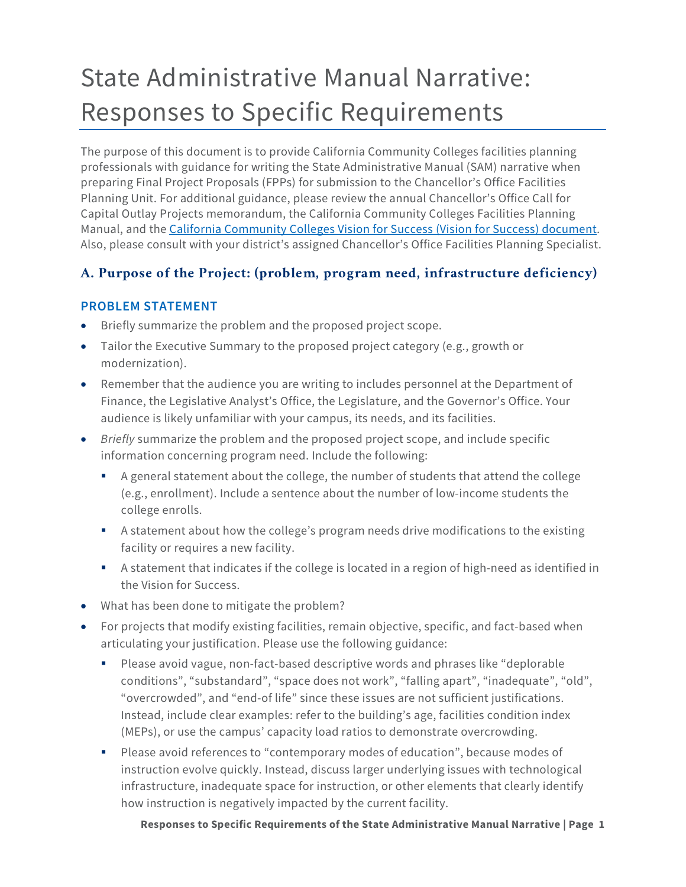# State Administrative Manual Narrative: Responses to Specific Requirements

The purpose of this document is to provide California Community Colleges facilities planning professionals with guidance for writing the State Administrative Manual (SAM) narrative when preparing Final Project Proposals (FPPs) for submission to the Chancellor's Office Facilities Planning Unit. For additional guidance, please review the annual Chancellor's Office Call for Capital Outlay Projects memorandum, the California Community Colleges Facilities Planning Manual, and the [California Community Colleges Vision for Success \(Vision for Success\) document.](https://www.cccco.edu/About-Us/Vision-for-Success) Also, please consult with your district's assigned Chancellor's Office Facilities Planning Specialist.

# **A. Purpose of the Project: (problem, program need, infrastructure deficiency)**

#### **PROBLEM STATEMENT**

- Briefly summarize the problem and the proposed project scope.
- Tailor the Executive Summary to the proposed project category (e.g., growth or modernization).
- Remember that the audience you are writing to includes personnel at the Department of Finance, the Legislative Analyst's Office, the Legislature, and the Governor's Office. Your audience is likely unfamiliar with your campus, its needs, and its facilities.
- *Briefly* summarize the problem and the proposed project scope, and include specific information concerning program need. Include the following:
	- A general statement about the college, the number of students that attend the college (e.g., enrollment). Include a sentence about the number of low-income students the college enrolls.
	- A statement about how the college's program needs drive modifications to the existing facility or requires a new facility.
	- A statement that indicates if the college is located in a region of high-need as identified in the Vision for Success.
- What has been done to mitigate the problem?
- For projects that modify existing facilities, remain objective, specific, and fact-based when articulating your justification. Please use the following guidance:
	- Please avoid vague, non-fact-based descriptive words and phrases like "deplorable conditions", "substandard", "space does not work", "falling apart", "inadequate", "old", "overcrowded", and "end-of life" since these issues are not sufficient justifications. Instead, include clear examples: refer to the building's age, facilities condition index (MEPs), or use the campus' capacity load ratios to demonstrate overcrowding.
	- Please avoid references to "contemporary modes of education", because modes of instruction evolve quickly. Instead, discuss larger underlying issues with technological infrastructure, inadequate space for instruction, or other elements that clearly identify how instruction is negatively impacted by the current facility.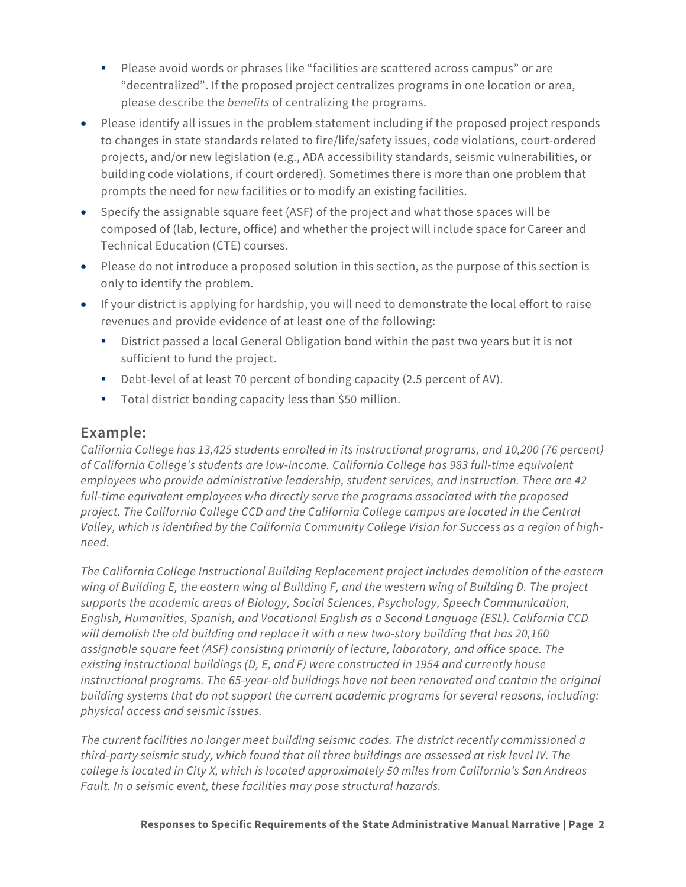- Please avoid words or phrases like "facilities are scattered across campus" or are "decentralized". If the proposed project centralizes programs in one location or area, please describe the *benefits* of centralizing the programs.
- Please identify all issues in the problem statement including if the proposed project responds to changes in state standards related to fire/life/safety issues, code violations, court-ordered projects, and/or new legislation (e.g., ADA accessibility standards, seismic vulnerabilities, or building code violations, if court ordered). Sometimes there is more than one problem that prompts the need for new facilities or to modify an existing facilities.
- Specify the assignable square feet (ASF) of the project and what those spaces will be composed of (lab, lecture, office) and whether the project will include space for Career and Technical Education (CTE) courses.
- Please do not introduce a proposed solution in this section, as the purpose of this section is only to identify the problem.
- If your district is applying for hardship, you will need to demonstrate the local effort to raise revenues and provide evidence of at least one of the following:
	- District passed a local General Obligation bond within the past two years but it is not sufficient to fund the project.
	- Debt-level of at least 70 percent of bonding capacity (2.5 percent of AV).
	- **Total district bonding capacity less than \$50 million.**

*California College has 13,425 students enrolled in its instructional programs, and 10,200 (76 percent) of California College's students are low-income. California College has 983 full-time equivalent employees who provide administrative leadership, student services, and instruction. There are 42 full-time equivalent employees who directly serve the programs associated with the proposed project. The California College CCD and the California College campus are located in the Central Valley, which is identified by the California Community College Vision for Success as a region of highneed.*

*The California College Instructional Building Replacement project includes demolition of the eastern wing of Building E, the eastern wing of Building F, and the western wing of Building D. The project supports the academic areas of Biology, Social Sciences, Psychology, Speech Communication, English, Humanities, Spanish, and Vocational English as a Second Language (ESL). California CCD will demolish the old building and replace it with a new two-story building that has 20,160 assignable square feet (ASF) consisting primarily of lecture, laboratory, and office space. The existing instructional buildings (D, E, and F) were constructed in 1954 and currently house instructional programs. The 65-year-old buildings have not been renovated and contain the original building systems that do not support the current academic programs for several reasons, including: physical access and seismic issues.*

*The current facilities no longer meet building seismic codes. The district recently commissioned a third-party seismic study, which found that all three buildings are assessed at risk level IV. The college is located in City X, which is located approximately 50 miles from California's San Andreas Fault. In a seismic event, these facilities may pose structural hazards.*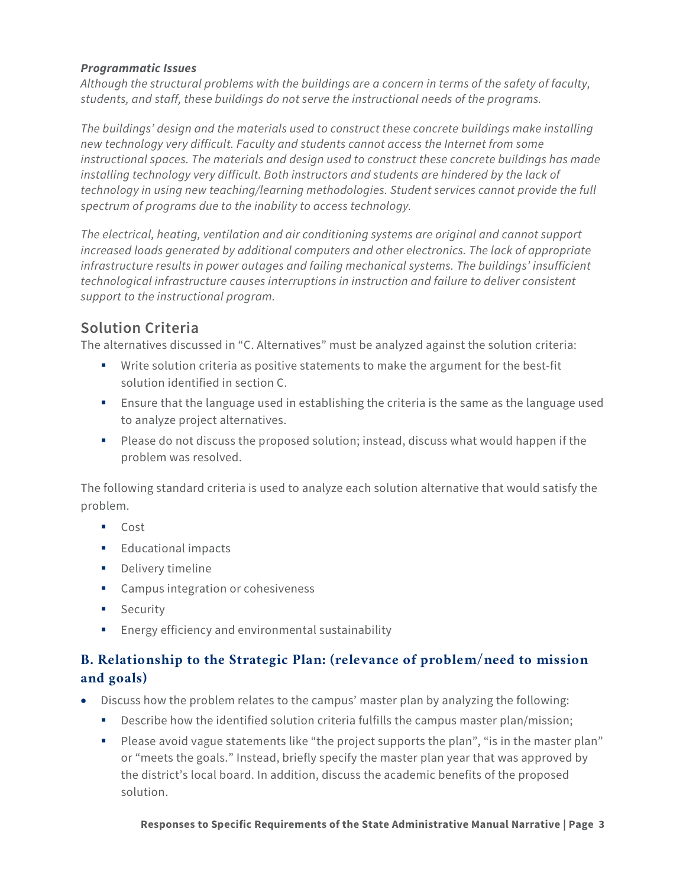#### *Programmatic Issues*

*Although the structural problems with the buildings are a concern in terms of the safety of faculty, students, and staff, these buildings do not serve the instructional needs of the programs.*

*The buildings' design and the materials used to construct these concrete buildings make installing new technology very difficult. Faculty and students cannot access the Internet from some instructional spaces. The materials and design used to construct these concrete buildings has made*  installing technology very difficult. Both instructors and students are hindered by the lack of *technology in using new teaching/learning methodologies. Student services cannot provide the full spectrum of programs due to the inability to access technology.*

*The electrical, heating, ventilation and air conditioning systems are original and cannot support increased loads generated by additional computers and other electronics. The lack of appropriate infrastructure results in power outages and failing mechanical systems. The buildings' insufficient technological infrastructure causes interruptions in instruction and failure to deliver consistent support to the instructional program.*

# **Solution Criteria**

The alternatives discussed in "C. Alternatives" must be analyzed against the solution criteria:

- Write solution criteria as positive statements to make the argument for the best-fit solution identified in section C.
- Ensure that the language used in establishing the criteria is the same as the language used to analyze project alternatives.
- Please do not discuss the proposed solution; instead, discuss what would happen if the problem was resolved.

The following standard criteria is used to analyze each solution alternative that would satisfy the problem.

- Cost
- **Educational impacts**
- **Delivery timeline**
- Campus integration or cohesiveness
- **Security**
- **Energy efficiency and environmental sustainability**

## **B. Relationship to the Strategic Plan: (relevance of problem/need to mission and goals)**

- Discuss how the problem relates to the campus' master plan by analyzing the following:
	- **Describe how the identified solution criteria fulfills the campus master plan/mission;**
	- Please avoid vague statements like "the project supports the plan", "is in the master plan" or "meets the goals." Instead, briefly specify the master plan year that was approved by the district's local board. In addition, discuss the academic benefits of the proposed solution.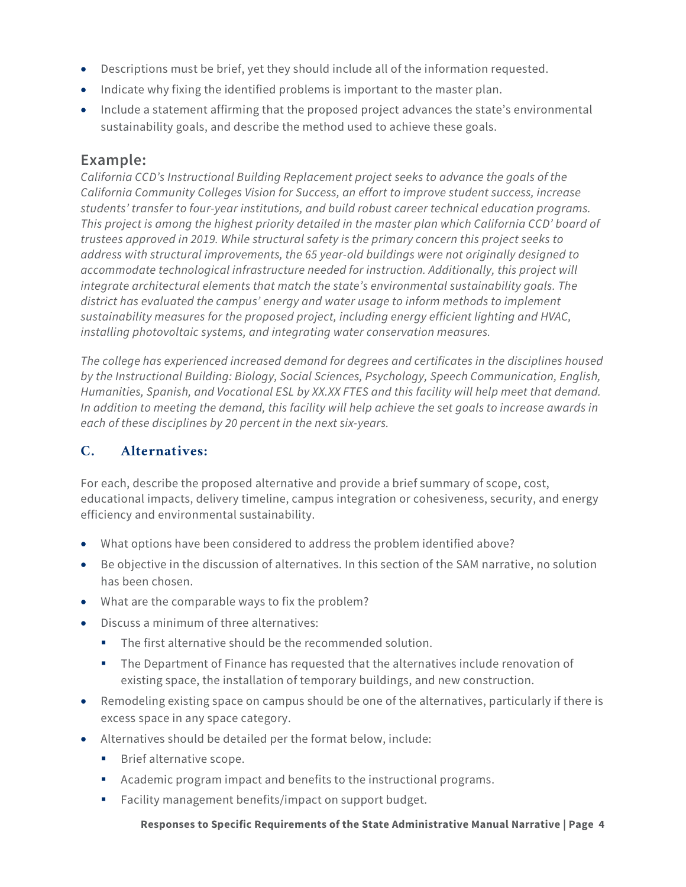- Descriptions must be brief, yet they should include all of the information requested.
- Indicate why fixing the identified problems is important to the master plan.
- Include a statement affirming that the proposed project advances the state's environmental sustainability goals, and describe the method used to achieve these goals.

*California CCD's Instructional Building Replacement project seeks to advance the goals of the California Community Colleges Vision for Success, an effort to improve student success, increase students' transfer to four-year institutions, and build robust career technical education programs. This project is among the highest priority detailed in the master plan which California CCD' board of trustees approved in 2019. While structural safety is the primary concern this project seeks to address with structural improvements, the 65 year-old buildings were not originally designed to accommodate technological infrastructure needed for instruction. Additionally, this project will integrate architectural elements that match the state's environmental sustainability goals. The district has evaluated the campus' energy and water usage to inform methods to implement sustainability measures for the proposed project, including energy efficient lighting and HVAC, installing photovoltaic systems, and integrating water conservation measures.*

*The college has experienced increased demand for degrees and certificates in the disciplines housed by the Instructional Building: Biology, Social Sciences, Psychology, Speech Communication, English, Humanities, Spanish, and Vocational ESL by XX.XX FTES and this facility will help meet that demand. In addition to meeting the demand, this facility will help achieve the set goals to increase awards in each of these disciplines by 20 percent in the next six-years.*

## **C. Alternatives:**

For each, describe the proposed alternative and provide a brief summary of scope, cost, educational impacts, delivery timeline, campus integration or cohesiveness, security, and energy efficiency and environmental sustainability.

- What options have been considered to address the problem identified above?
- Be objective in the discussion of alternatives. In this section of the SAM narrative, no solution has been chosen.
- What are the comparable ways to fix the problem?
- Discuss a minimum of three alternatives:
	- The first alternative should be the recommended solution.
	- The Department of Finance has requested that the alternatives include renovation of existing space, the installation of temporary buildings, and new construction.
- Remodeling existing space on campus should be one of the alternatives, particularly if there is excess space in any space category.
- Alternatives should be detailed per the format below, include:
	- **Brief alternative scope.**
	- Academic program impact and benefits to the instructional programs.
	- **Facility management benefits/impact on support budget.**

#### **Responses to Specific Requirements of the State Administrative Manual Narrative | Page 4**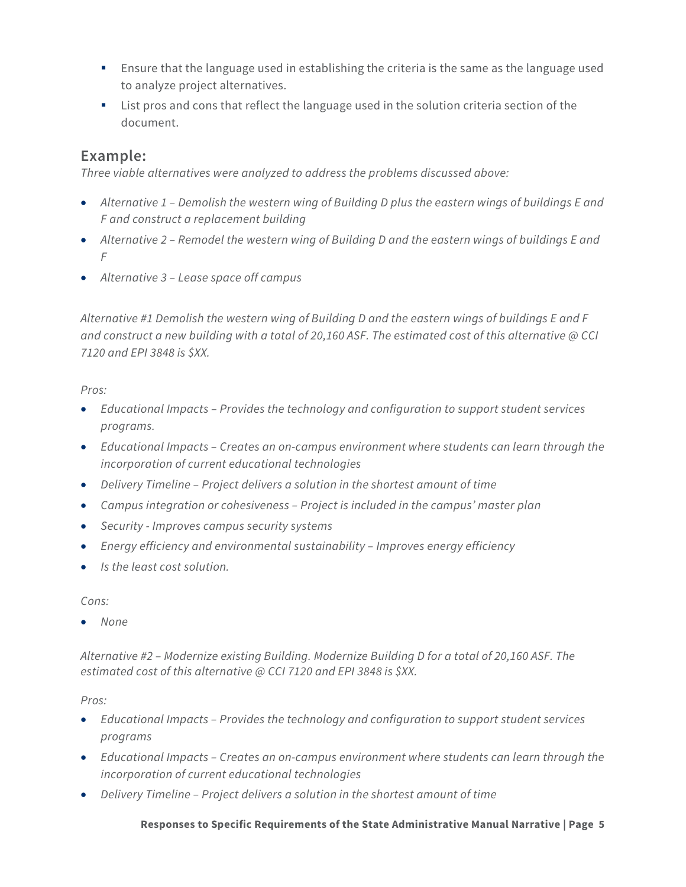- **Ensure that the language used in establishing the criteria is the same as the language used** to analyze project alternatives.
- List pros and cons that reflect the language used in the solution criteria section of the document.

*Three viable alternatives were analyzed to address the problems discussed above:*

- *Alternative 1 – Demolish the western wing of Building D plus the eastern wings of buildings E and F and construct a replacement building*
- *Alternative 2 – Remodel the western wing of Building D and the eastern wings of buildings E and F*
- *Alternative 3 – Lease space off campus*

*Alternative #1 Demolish the western wing of Building D and the eastern wings of buildings E and F and construct a new building with a total of 20,160 ASF. The estimated cost of this alternative @ CCI 7120 and EPI 3848 is \$XX.*

#### *Pros:*

- *Educational Impacts – Provides the technology and configuration to support student services programs.*
- *Educational Impacts – Creates an on-campus environment where students can learn through the incorporation of current educational technologies*
- *Delivery Timeline – Project delivers a solution in the shortest amount of time*
- *Campus integration or cohesiveness – Project is included in the campus' master plan*
- *Security - Improves campus security systems*
- *Energy efficiency and environmental sustainability – Improves energy efficiency*
- *Is the least cost solution.*

*Cons:*

• *None*

*Alternative #2 – Modernize existing Building. Modernize Building D for a total of 20,160 ASF. The estimated cost of this alternative @ CCI 7120 and EPI 3848 is \$XX.*

#### *Pros:*

- *Educational Impacts – Provides the technology and configuration to support student services programs*
- *Educational Impacts – Creates an on-campus environment where students can learn through the incorporation of current educational technologies*
- *Delivery Timeline – Project delivers a solution in the shortest amount of time*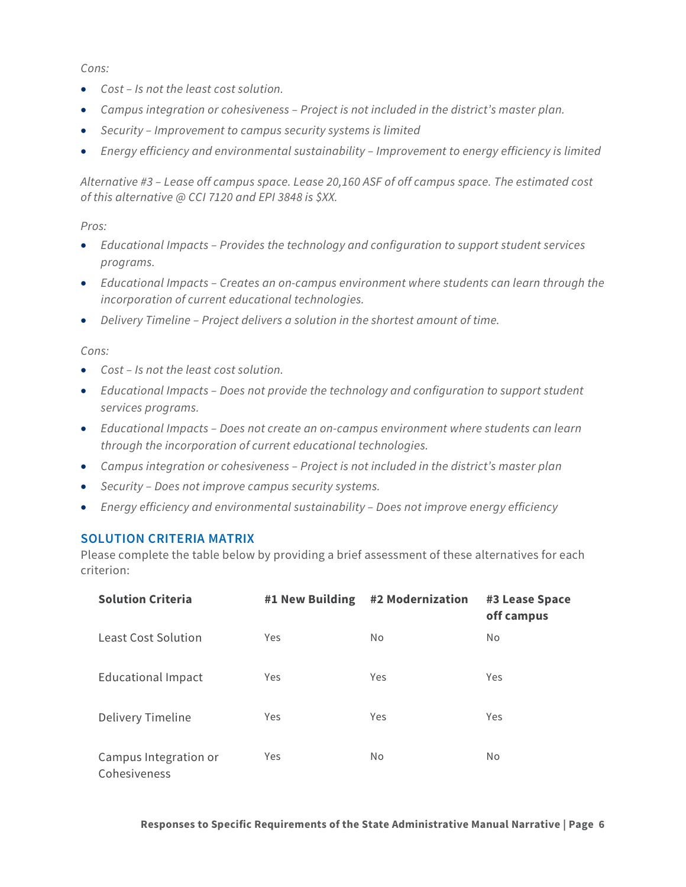*Cons:*

- *Cost – Is not the least cost solution.*
- *Campus integration or cohesiveness – Project is not included in the district's master plan.*
- *Security – Improvement to campus security systems is limited*
- *Energy efficiency and environmental sustainability – Improvement to energy efficiency is limited*

*Alternative #3 – Lease off campus space. Lease 20,160 ASF of off campus space. The estimated cost of this alternative @ CCI 7120 and EPI 3848 is \$XX.*

*Pros:*

- *Educational Impacts – Provides the technology and configuration to support student services programs.*
- *Educational Impacts – Creates an on-campus environment where students can learn through the incorporation of current educational technologies.*
- *Delivery Timeline – Project delivers a solution in the shortest amount of time.*

*Cons:*

- *Cost – Is not the least cost solution.*
- *Educational Impacts – Does not provide the technology and configuration to support student services programs.*
- *Educational Impacts – Does not create an on-campus environment where students can learn through the incorporation of current educational technologies.*
- *Campus integration or cohesiveness – Project is not included in the district's master plan*
- *Security – Does not improve campus security systems.*
- *Energy efficiency and environmental sustainability – Does not improve energy efficiency*

#### **SOLUTION CRITERIA MATRIX**

Please complete the table below by providing a brief assessment of these alternatives for each criterion:

| <b>Solution Criteria</b>              | #1 New Building | #2 Modernization | #3 Lease Space<br>off campus |
|---------------------------------------|-----------------|------------------|------------------------------|
| <b>Least Cost Solution</b>            | Yes             | <b>No</b>        | <b>No</b>                    |
| <b>Educational Impact</b>             | Yes             | Yes              | Yes                          |
| Delivery Timeline                     | Yes             | Yes              | Yes                          |
| Campus Integration or<br>Cohesiveness | Yes             | <b>No</b>        | <b>No</b>                    |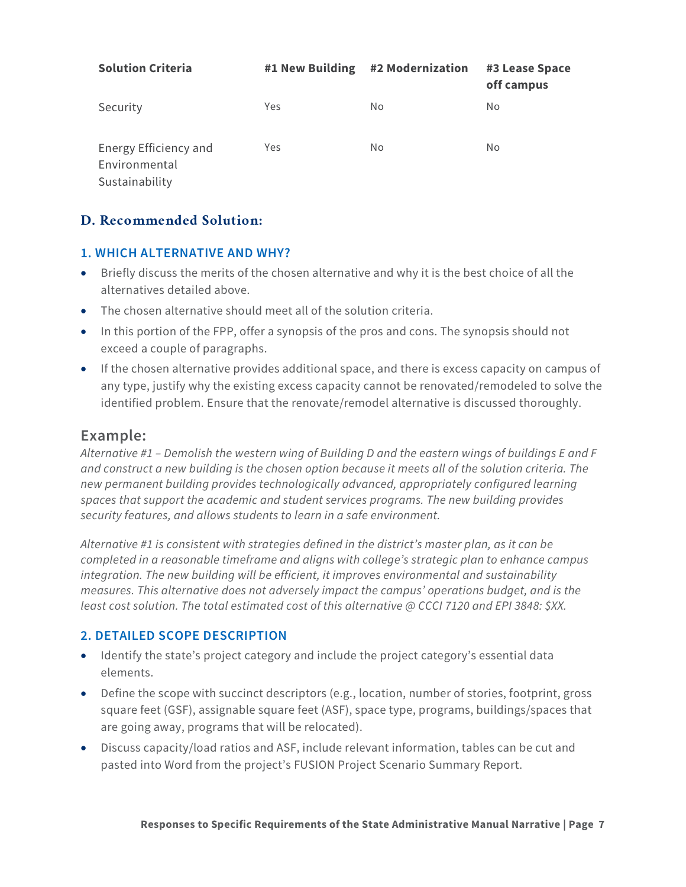| <b>Solution Criteria</b>                                 | #1 New Building | #2 Modernization | #3 Lease Space<br>off campus |
|----------------------------------------------------------|-----------------|------------------|------------------------------|
| Security                                                 | Yes             | No               | No                           |
| Energy Efficiency and<br>Environmental<br>Sustainability | Yes             | No               | No                           |

## **D. Recommended Solution:**

#### **1. WHICH ALTERNATIVE AND WHY?**

- Briefly discuss the merits of the chosen alternative and why it is the best choice of all the alternatives detailed above.
- The chosen alternative should meet all of the solution criteria.
- In this portion of the FPP, offer a synopsis of the pros and cons. The synopsis should not exceed a couple of paragraphs.
- If the chosen alternative provides additional space, and there is excess capacity on campus of any type, justify why the existing excess capacity cannot be renovated/remodeled to solve the identified problem. Ensure that the renovate/remodel alternative is discussed thoroughly.

# **Example:**

*Alternative #1 – Demolish the western wing of Building D and the eastern wings of buildings E and F and construct a new building is the chosen option because it meets all of the solution criteria. The new permanent building provides technologically advanced, appropriately configured learning spaces that support the academic and student services programs. The new building provides security features, and allows students to learn in a safe environment.* 

*Alternative #1 is consistent with strategies defined in the district's master plan, as it can be completed in a reasonable timeframe and aligns with college's strategic plan to enhance campus integration. The new building will be efficient, it improves environmental and sustainability measures. This alternative does not adversely impact the campus' operations budget, and is the least cost solution. The total estimated cost of this alternative @ CCCI 7120 and EPI 3848: \$XX.*

## **2. DETAILED SCOPE DESCRIPTION**

- Identify the state's project category and include the project category's essential data elements.
- Define the scope with succinct descriptors (e.g., location, number of stories, footprint, gross square feet (GSF), assignable square feet (ASF), space type, programs, buildings/spaces that are going away, programs that will be relocated).
- Discuss capacity/load ratios and ASF, include relevant information, tables can be cut and pasted into Word from the project's FUSION Project Scenario Summary Report.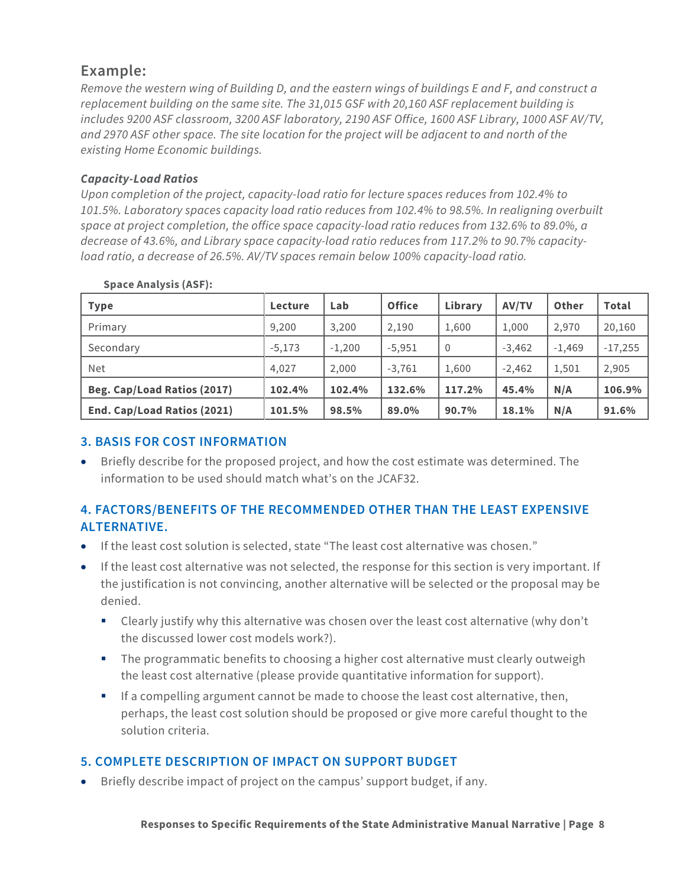*Remove the western wing of Building D, and the eastern wings of buildings E and F, and construct a replacement building on the same site. The 31,015 GSF with 20,160 ASF replacement building is includes 9200 ASF classroom, 3200 ASF laboratory, 2190 ASF Office, 1600 ASF Library, 1000 ASF AV/TV, and 2970 ASF other space. The site location for the project will be adjacent to and north of the existing Home Economic buildings.* 

#### *Capacity-Load Ratios*

*Upon completion of the project, capacity-load ratio for lecture spaces reduces from 102.4% to 101.5%. Laboratory spaces capacity load ratio reduces from 102.4% to 98.5%. In realigning overbuilt space at project completion, the office space capacity-load ratio reduces from 132.6% to 89.0%, a decrease of 43.6%, and Library space capacity-load ratio reduces from 117.2% to 90.7% capacityload ratio, a decrease of 26.5%. AV/TV spaces remain below 100% capacity-load ratio.*

| <b>Type</b>                 | Lecture  | Lab      | <b>Office</b> | Library        | <b>AV/TV</b> | Other    | <b>Total</b> |
|-----------------------------|----------|----------|---------------|----------------|--------------|----------|--------------|
| Primary                     | 9.200    | 3,200    | 2,190         | 1,600          | 1,000        | 2,970    | 20,160       |
| Secondary                   | $-5.173$ | $-1,200$ | $-5.951$      | $\overline{0}$ | $-3.462$     | $-1.469$ | $-17,255$    |
| Net                         | 4.027    | 2,000    | $-3,761$      | 1,600          | $-2,462$     | 1,501    | 2,905        |
| Beg. Cap/Load Ratios (2017) | 102.4%   | 102.4%   | 132.6%        | 117.2%         | 45.4%        | N/A      | 106.9%       |
| End. Cap/Load Ratios (2021) | 101.5%   | 98.5%    | 89.0%         | 90.7%          | 18.1%        | N/A      | 91.6%        |

#### **Space Analysis (ASF):**

## **3. BASIS FOR COST INFORMATION**

• Briefly describe for the proposed project, and how the cost estimate was determined. The information to be used should match what's on the JCAF32.

# **4. FACTORS/BENEFITS OF THE RECOMMENDED OTHER THAN THE LEAST EXPENSIVE ALTERNATIVE.**

- If the least cost solution is selected, state "The least cost alternative was chosen."
- If the least cost alternative was not selected, the response for this section is very important. If the justification is not convincing, another alternative will be selected or the proposal may be denied.
	- Clearly justify why this alternative was chosen over the least cost alternative (why don't the discussed lower cost models work?).
	- The programmatic benefits to choosing a higher cost alternative must clearly outweigh the least cost alternative (please provide quantitative information for support).
	- **If a compelling argument cannot be made to choose the least cost alternative, then,** perhaps, the least cost solution should be proposed or give more careful thought to the solution criteria.

# **5. COMPLETE DESCRIPTION OF IMPACT ON SUPPORT BUDGET**

• Briefly describe impact of project on the campus' support budget, if any.